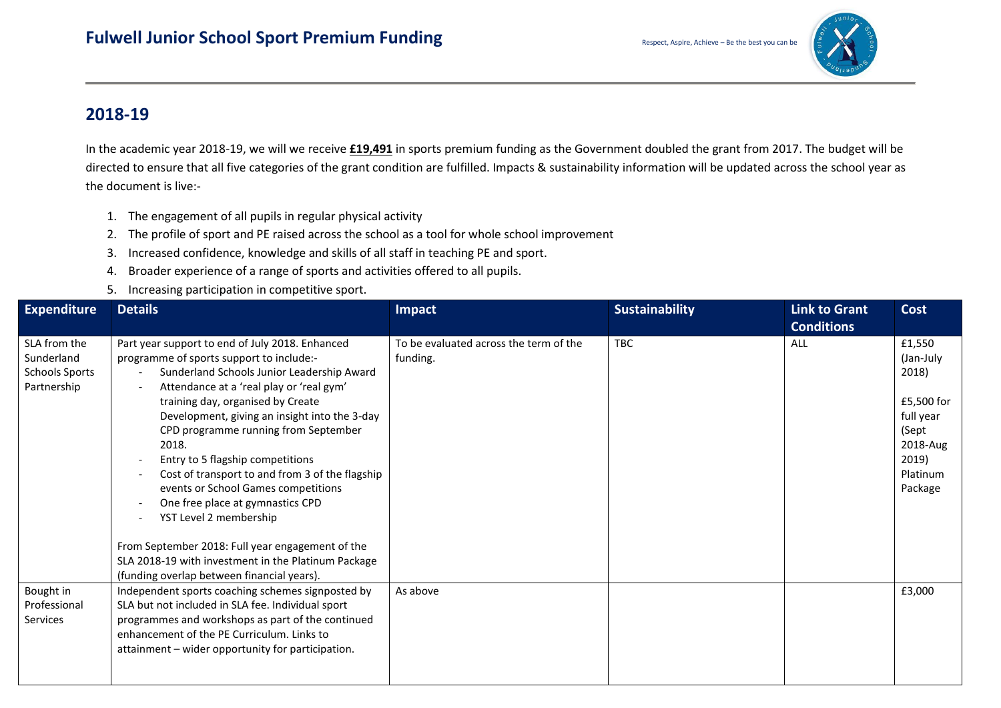

## **2018-19**

In the academic year 2018-19, we will we receive **£19,491** in sports premium funding as the Government doubled the grant from 2017. The budget will be directed to ensure that all five categories of the grant condition are fulfilled. Impacts & sustainability information will be updated across the school year as the document is live:-

- 1. The engagement of all pupils in regular physical activity
- 2. The profile of sport and PE raised across the school as a tool for whole school improvement
- 3. Increased confidence, knowledge and skills of all staff in teaching PE and sport.
- 4. Broader experience of a range of sports and activities offered to all pupils.
- 5. Increasing participation in competitive sport.

| <b>Expenditure</b>                                                 | <b>Details</b>                                                                                                                                                                                                                                                                                                                                                                                                                                                                                                                                                                                                                                                                         | Impact                                             | <b>Sustainability</b> | <b>Link to Grant</b> | <b>Cost</b>                                                                                                  |
|--------------------------------------------------------------------|----------------------------------------------------------------------------------------------------------------------------------------------------------------------------------------------------------------------------------------------------------------------------------------------------------------------------------------------------------------------------------------------------------------------------------------------------------------------------------------------------------------------------------------------------------------------------------------------------------------------------------------------------------------------------------------|----------------------------------------------------|-----------------------|----------------------|--------------------------------------------------------------------------------------------------------------|
|                                                                    |                                                                                                                                                                                                                                                                                                                                                                                                                                                                                                                                                                                                                                                                                        |                                                    |                       | <b>Conditions</b>    |                                                                                                              |
| SLA from the<br>Sunderland<br><b>Schools Sports</b><br>Partnership | Part year support to end of July 2018. Enhanced<br>programme of sports support to include:-<br>Sunderland Schools Junior Leadership Award<br>$\overline{a}$<br>Attendance at a 'real play or 'real gym'<br>$\overline{\phantom{a}}$<br>training day, organised by Create<br>Development, giving an insight into the 3-day<br>CPD programme running from September<br>2018.<br>Entry to 5 flagship competitions<br>$\overline{\phantom{a}}$<br>Cost of transport to and from 3 of the flagship<br>$\overline{\phantom{a}}$<br>events or School Games competitions<br>One free place at gymnastics CPD<br>$\overline{\phantom{0}}$<br>YST Level 2 membership<br>$\overline{\phantom{a}}$ | To be evaluated across the term of the<br>funding. | <b>TBC</b>            | ALL                  | £1,550<br>(Jan-July<br>2018)<br>£5,500 for<br>full year<br>(Sept<br>2018-Aug<br>2019)<br>Platinum<br>Package |
|                                                                    | From September 2018: Full year engagement of the<br>SLA 2018-19 with investment in the Platinum Package<br>(funding overlap between financial years).                                                                                                                                                                                                                                                                                                                                                                                                                                                                                                                                  |                                                    |                       |                      |                                                                                                              |
| Bought in<br>Professional<br>Services                              | Independent sports coaching schemes signposted by<br>SLA but not included in SLA fee. Individual sport<br>programmes and workshops as part of the continued<br>enhancement of the PE Curriculum. Links to<br>attainment – wider opportunity for participation.                                                                                                                                                                                                                                                                                                                                                                                                                         | As above                                           |                       |                      | £3,000                                                                                                       |